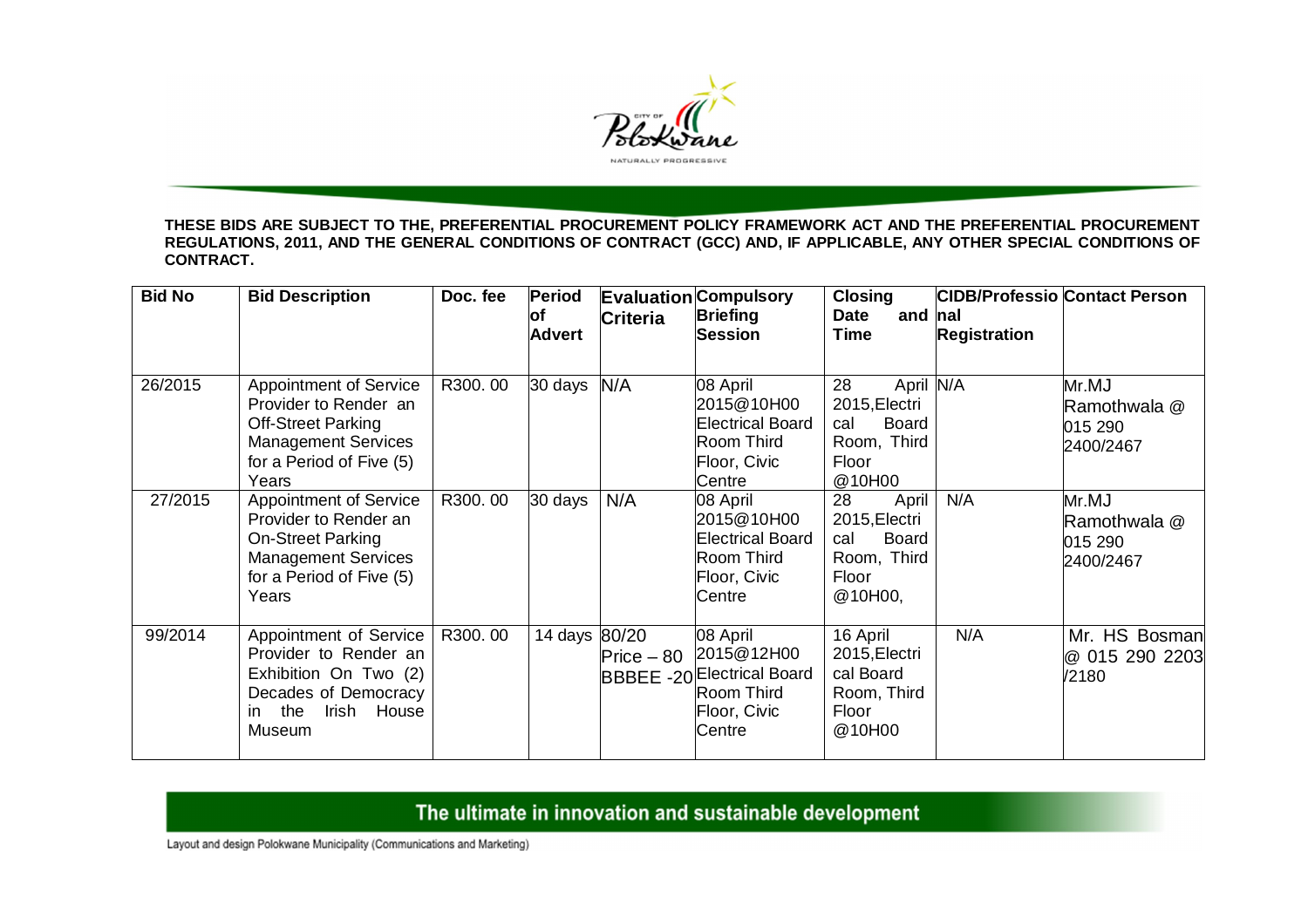

**THESE BIDS ARE SUBJECT TO THE, PREFERENTIAL PROCUREMENT POLICY FRAMEWORK ACT AND THE PREFERENTIAL PROCUREMENT REGULATIONS, 2011, AND THE GENERAL CONDITIONS OF CONTRACT (GCC) AND, IF APPLICABLE, ANY OTHER SPECIAL CONDITIONS OF CONTRACT.** 

| <b>Bid No</b> | <b>Bid Description</b>                                                                                                                                 | Doc. fee | <b>Period</b><br>lof<br><b>Advert</b> | <b>Criteria</b> | <b>Evaluation Compulsory</b><br><b>Briefing</b><br><b>Session</b>                                   | <b>Closing</b><br><b>Date</b><br>and nal<br><b>Time</b>                                   | <b>Registration</b> | <b>CIDB/Professio Contact Person</b>          |
|---------------|--------------------------------------------------------------------------------------------------------------------------------------------------------|----------|---------------------------------------|-----------------|-----------------------------------------------------------------------------------------------------|-------------------------------------------------------------------------------------------|---------------------|-----------------------------------------------|
| 26/2015       | <b>Appointment of Service</b><br>Provider to Render an<br><b>Off-Street Parking</b><br><b>Management Services</b><br>for a Period of Five (5)<br>Years | R300.00  | 30 days                               | N/A             | 08 April<br>2015@10H00<br><b>Electrical Board</b><br>Room Third<br>Floor, Civic<br>Centre           | April N/A<br>28<br>2015, Electri<br><b>Board</b><br>cal<br>Room, Third<br>Floor<br>@10H00 |                     | Mr.MJ<br>Ramothwala @<br>015 290<br>2400/2467 |
| 27/2015       | <b>Appointment of Service</b><br>Provider to Render an<br><b>On-Street Parking</b><br><b>Management Services</b><br>for a Period of Five (5)<br>Years  | R300.00  | 30 days                               | N/A             | 08 April<br>2015@10H00<br><b>Electrical Board</b><br>Room Third<br>Floor, Civic<br>Centre           | April<br>28<br>2015, Electri<br><b>Board</b><br>cal<br>Room, Third<br>Floor<br>@10H00,    | N/A                 | Mr.MJ<br>Ramothwala @<br>015 290<br>2400/2467 |
| 99/2014       | Appointment of Service<br>Provider to Render an<br>Exhibition On Two (2)<br>Decades of Democracy<br>the<br>Irish House<br>in.<br>Museum                | R300.00  | 14 days 80/20                         | $Price - 80$    | 08 April<br>2015@12H00<br><b>BBBEE -20 Electrical Board</b><br>Room Third<br>Floor, Civic<br>Centre | 16 April<br>2015, Electri<br>cal Board<br>Room, Third<br>Floor<br>@10H00                  | N/A                 | Mr. HS Bosman<br>@ 015 290 2203<br>/2180      |

## The ultimate in innovation and sustainable development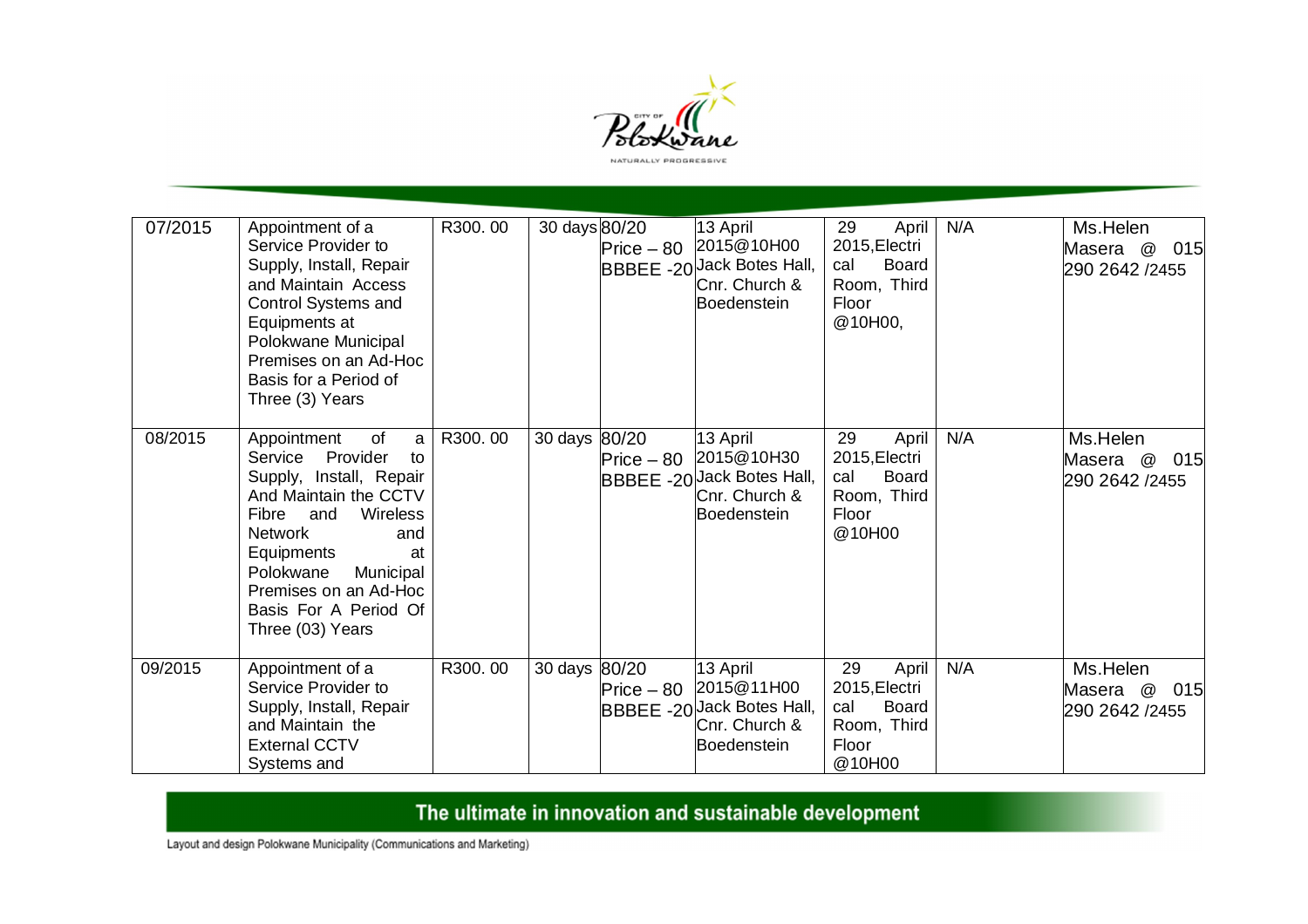

| 07/2015 | Appointment of a<br>Service Provider to<br>Supply, Install, Repair<br>and Maintain Access<br>Control Systems and<br>Equipments at<br>Polokwane Municipal<br>Premises on an Ad-Hoc<br>Basis for a Period of<br>Three (3) Years                                                    | R300.00 | 30 days 80/20 | 13 April<br>Price - 80 2015@10H00<br>BBBEE -20 Jack Botes Hall,<br>Cnr. Church &<br>Boedenstein | 29<br>April<br>2015, Electri<br>cal<br><b>Board</b><br>Room, Third<br>Floor<br>@10H00, | N/A | Ms.Helen<br>015<br>Masera @<br>290 2642 /2455 |
|---------|----------------------------------------------------------------------------------------------------------------------------------------------------------------------------------------------------------------------------------------------------------------------------------|---------|---------------|-------------------------------------------------------------------------------------------------|----------------------------------------------------------------------------------------|-----|-----------------------------------------------|
| 08/2015 | Appointment<br>of<br>a<br>Provider<br>Service<br>to<br>Supply, Install, Repair<br>And Maintain the CCTV<br>Fibre<br>and<br>Wireless<br><b>Network</b><br>and<br>Equipments<br>at<br>Polokwane<br>Municipal<br>Premises on an Ad-Hoc<br>Basis For A Period Of<br>Three (03) Years | R300.00 | 30 days 80/20 | 13 April<br>Price - 80 2015@10H30<br>BBBEE -20 lack Botes Hall,<br>Cnr. Church &<br>Boedenstein | 29<br>April<br>2015, Electri<br>cal<br><b>Board</b><br>Room, Third<br>Floor<br>@10H00  | N/A | Ms.Helen<br>Masera @<br>015<br>290 2642 /2455 |
| 09/2015 | Appointment of a<br>Service Provider to<br>Supply, Install, Repair<br>and Maintain the<br><b>External CCTV</b><br>Systems and                                                                                                                                                    | R300.00 | 30 days 80/20 | 13 April<br>Price - 80 2015@11H00<br>BBBEE -20 Jack Botes Hall,<br>Cnr. Church &<br>Boedenstein | 29<br>April<br>2015, Electri<br>Board<br>cal<br>Room, Third<br>Floor<br>@10H00         | N/A | Ms.Helen<br>Masera @<br>015<br>290 2642 /2455 |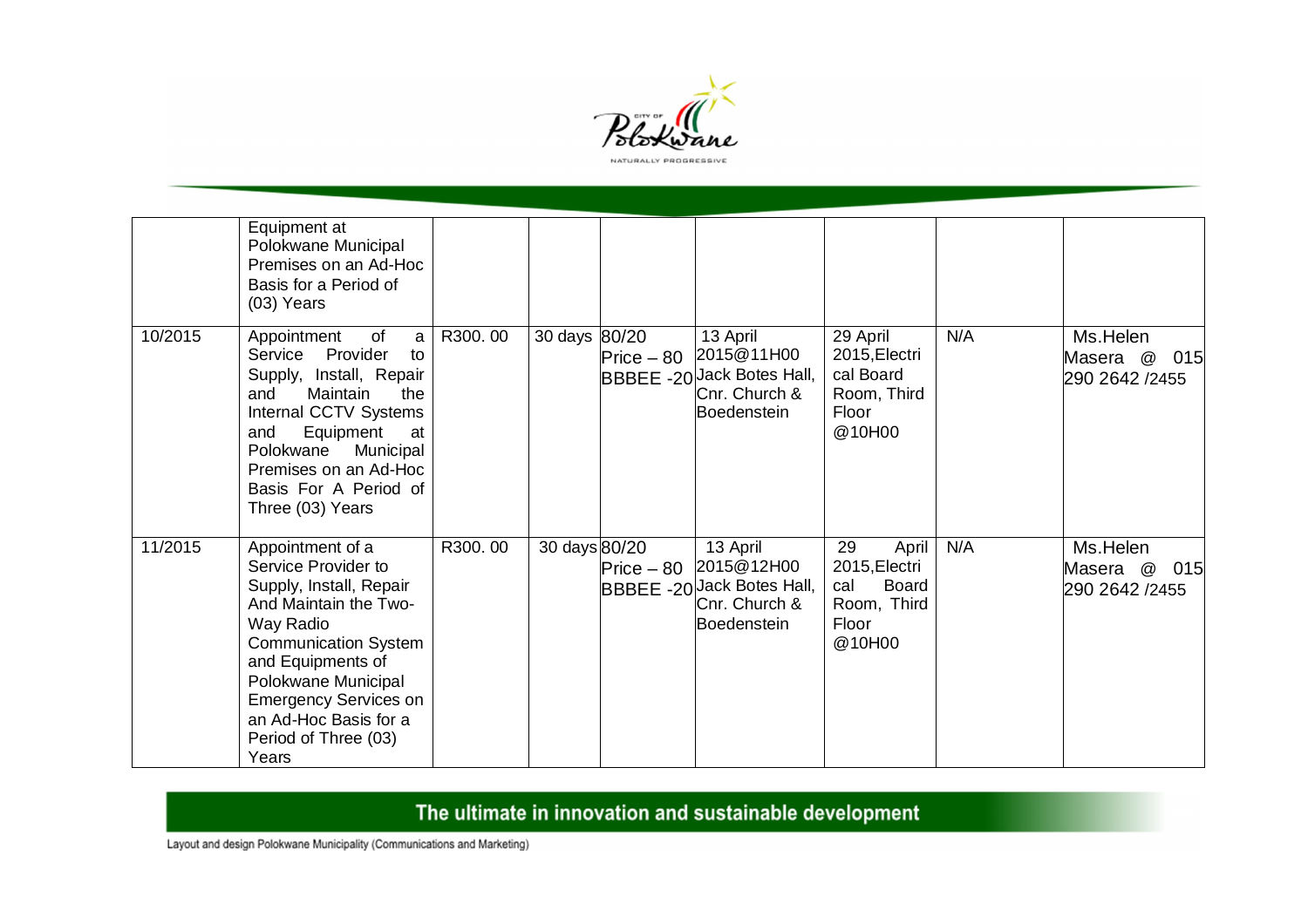

|         | Equipment at<br>Polokwane Municipal<br>Premises on an Ad-Hoc<br>Basis for a Period of<br>$(03)$ Years                                                                                                                                                                         |         |               |              |                                                                                      |                                                                                       |     |                                                                          |
|---------|-------------------------------------------------------------------------------------------------------------------------------------------------------------------------------------------------------------------------------------------------------------------------------|---------|---------------|--------------|--------------------------------------------------------------------------------------|---------------------------------------------------------------------------------------|-----|--------------------------------------------------------------------------|
| 10/2015 | Appointment<br>of<br>a<br>Service Provider<br>to<br>Supply, Install, Repair<br>Maintain<br>and<br>the<br>Internal CCTV Systems<br>Equipment<br>and<br>at<br>Polokwane<br>Municipal<br>Premises on an Ad-Hoc<br>Basis For A Period of<br>Three (03) Years                      | R300.00 | 30 days 80/20 | $Price - 80$ | 13 April<br>2015@11H00<br>BBBEE -20 Lack Botes Hall,<br>Cnr. Church &<br>Boedenstein | 29 April<br>2015, Electri<br>cal Board<br>Room, Third<br>Floor<br>@10H00              | N/A | Ms.Helen<br>Masera @ 015<br>290 2642 /2455                               |
| 11/2015 | Appointment of a<br>Service Provider to<br>Supply, Install, Repair<br>And Maintain the Two-<br>Way Radio<br><b>Communication System</b><br>and Equipments of<br>Polokwane Municipal<br><b>Emergency Services on</b><br>an Ad-Hoc Basis for a<br>Period of Three (03)<br>Years | R300.00 | 30 days 80/20 | $Price - 80$ | 13 April<br>2015@12H00<br>BBBEE -20 Vack Botes Hall,<br>Cnr. Church &<br>Boedenstein | 29<br>April<br>2015, Electri<br><b>Board</b><br>cal<br>Room, Third<br>Floor<br>@10H00 | N/A | Ms.Helen<br>$^\text{\textregistered}$<br>015<br>Masera<br>290 2642 /2455 |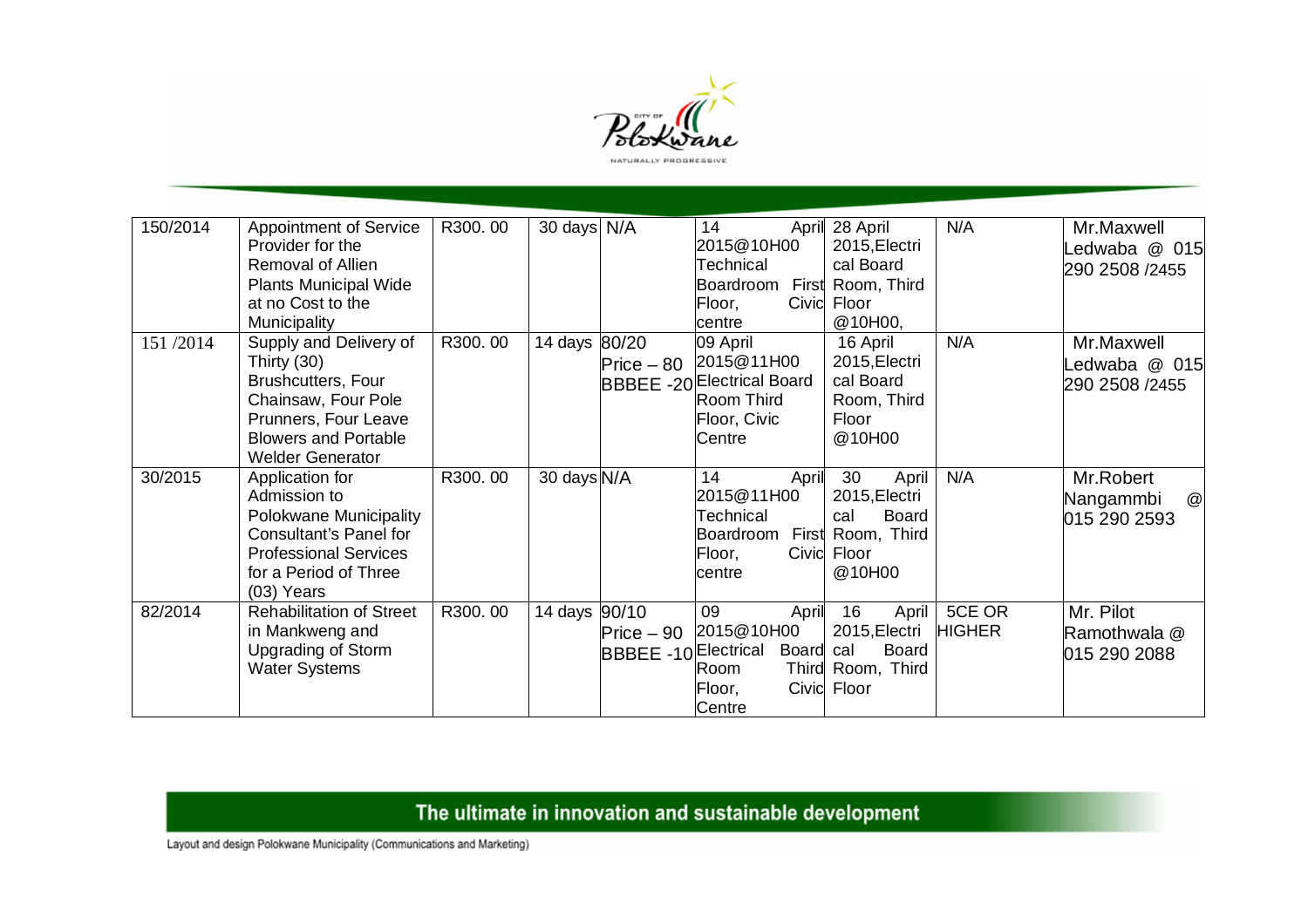

| 150/2014 | Appointment of Service<br>Provider for the<br>Removal of Allien<br><b>Plants Municipal Wide</b><br>at no Cost to the<br>Municipality                                 | R300.00 | 30 days N/A   |              | 14<br>2015@10H00<br>Technical<br>Boardroom First Room, Third<br>Floor,<br>lcentre                   | April 28 April<br>2015, Electri<br>cal Board<br>Civic Floor<br>@10H00,                            | N/A                     | Mr.Maxwell<br>edwaba @ 015<br>290 2508 /2455            |
|----------|----------------------------------------------------------------------------------------------------------------------------------------------------------------------|---------|---------------|--------------|-----------------------------------------------------------------------------------------------------|---------------------------------------------------------------------------------------------------|-------------------------|---------------------------------------------------------|
| 151/2014 | Supply and Delivery of<br>Thirty (30)<br>Brushcutters, Four<br>Chainsaw, Four Pole<br>Prunners, Four Leave<br><b>Blowers and Portable</b><br><b>Welder Generator</b> | R300.00 | 14 days 80/20 | $Price - 80$ | 09 April<br>2015@11H00<br><b>BBBEE -20 Electrical Board</b><br>Room Third<br>Floor, Civic<br>Centre | 16 April<br>2015, Electri<br>cal Board<br>Room, Third<br>Floor<br>@10H00                          | N/A                     | Mr.Maxwell<br>edwaba @ 015<br>290 2508 /2455            |
| 30/2015  | Application for<br>Admission to<br>Polokwane Municipality<br>Consultant's Panel for<br><b>Professional Services</b><br>for a Period of Three<br>$(03)$ Years         | R300.00 | 30 days N/A   |              | 14<br>April<br>2015@11H00<br>Technical<br>Boardroom<br>Floor,<br>lcentre                            | 30<br>April<br>2015, Electri<br>cal<br><b>Board</b><br>First Room, Third<br>Civic Floor<br>@10H00 | N/A                     | Mr.Robert<br>$^\copyright$<br>Nangammbi<br>015 290 2593 |
| 82/2014  | <b>Rehabilitation of Street</b><br>in Mankweng and<br><b>Upgrading of Storm</b><br><b>Water Systems</b>                                                              | R300.00 | 14 days 90/10 | $Price - 90$ | 09<br>April<br>2015@10H00<br>BBBEE -10 Electrical Board<br>Room<br>Floor,<br>Centre                 | 16<br>April<br>2015, Electri<br><b>Board</b><br>cal<br>Third Room, Third<br>Civic Floor           | 5CE OR<br><b>HIGHER</b> | Mr. Pilot<br>Ramothwala @<br>015 290 2088               |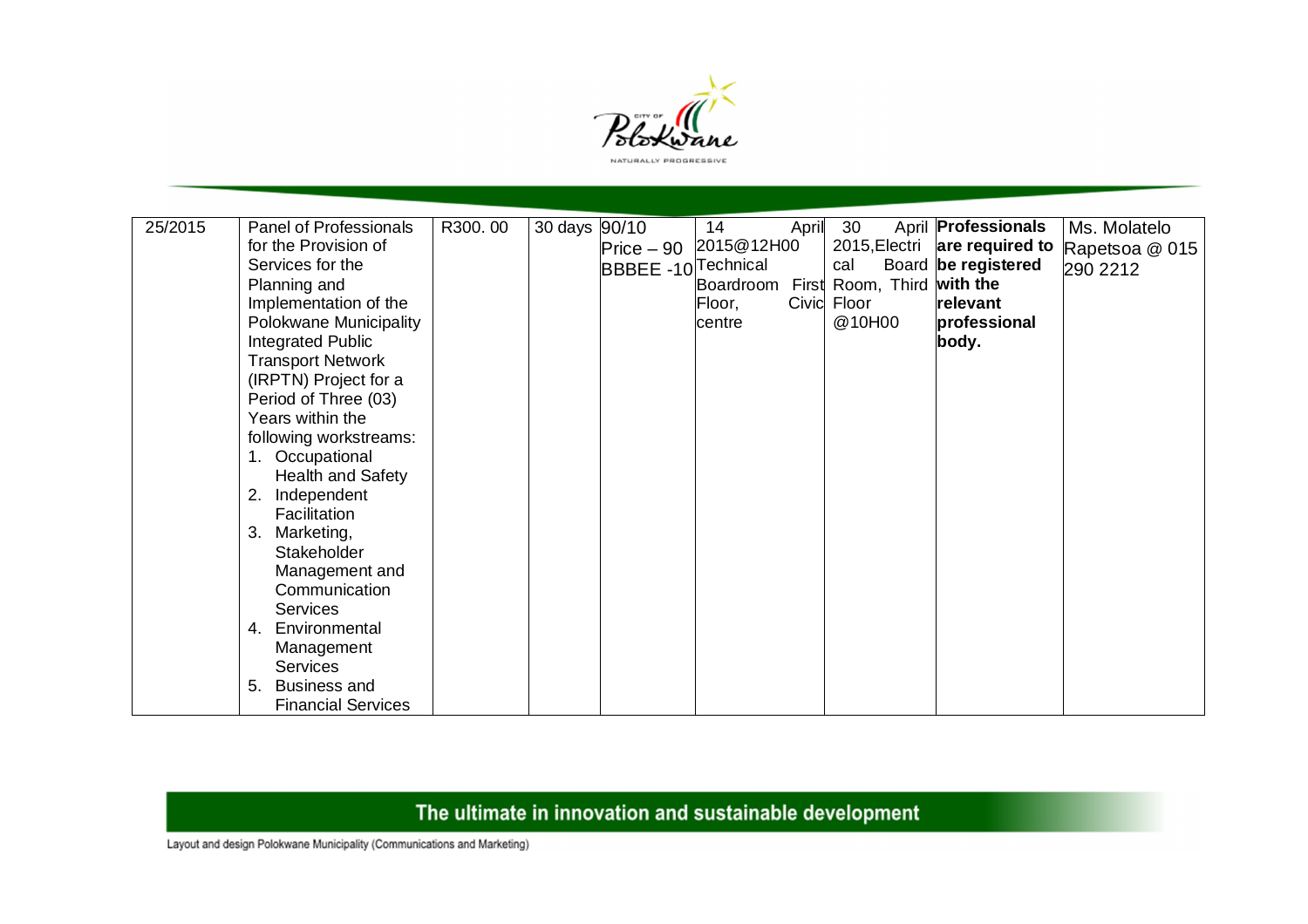

| 25/2015 | Panel of Professionals    | R300.00 | 30 days 90/10 |                                | 14        | April | 30                         | April <b>Professionals</b> | Ms. Molatelo   |
|---------|---------------------------|---------|---------------|--------------------------------|-----------|-------|----------------------------|----------------------------|----------------|
|         | for the Provision of      |         |               | Price - 90 2015@12H00          |           |       | 2015, Electri              | are required to            | Rapetsoa @ 015 |
|         | Services for the          |         |               | BBBEE -10 <sup>Technical</sup> |           |       | cal                        | Board be registered        | 290 2212       |
|         | Planning and              |         |               |                                | Boardroom |       | First Room, Third with the |                            |                |
|         | Implementation of the     |         |               |                                | Floor,    |       | Civic Floor                | relevant                   |                |
|         | Polokwane Municipality    |         |               |                                | centre    |       | @10H00                     | professional               |                |
|         | Integrated Public         |         |               |                                |           |       |                            | body.                      |                |
|         | <b>Transport Network</b>  |         |               |                                |           |       |                            |                            |                |
|         | (IRPTN) Project for a     |         |               |                                |           |       |                            |                            |                |
|         | Period of Three (03)      |         |               |                                |           |       |                            |                            |                |
|         | Years within the          |         |               |                                |           |       |                            |                            |                |
|         | following workstreams:    |         |               |                                |           |       |                            |                            |                |
|         | 1. Occupational           |         |               |                                |           |       |                            |                            |                |
|         | Health and Safety         |         |               |                                |           |       |                            |                            |                |
|         | Independent<br>2.         |         |               |                                |           |       |                            |                            |                |
|         | Facilitation              |         |               |                                |           |       |                            |                            |                |
|         | 3.<br>Marketing,          |         |               |                                |           |       |                            |                            |                |
|         | Stakeholder               |         |               |                                |           |       |                            |                            |                |
|         | Management and            |         |               |                                |           |       |                            |                            |                |
|         | Communication             |         |               |                                |           |       |                            |                            |                |
|         | <b>Services</b>           |         |               |                                |           |       |                            |                            |                |
|         | Environmental<br>4.       |         |               |                                |           |       |                            |                            |                |
|         | Management                |         |               |                                |           |       |                            |                            |                |
|         | <b>Services</b>           |         |               |                                |           |       |                            |                            |                |
|         | <b>Business and</b><br>5. |         |               |                                |           |       |                            |                            |                |
|         | <b>Financial Services</b> |         |               |                                |           |       |                            |                            |                |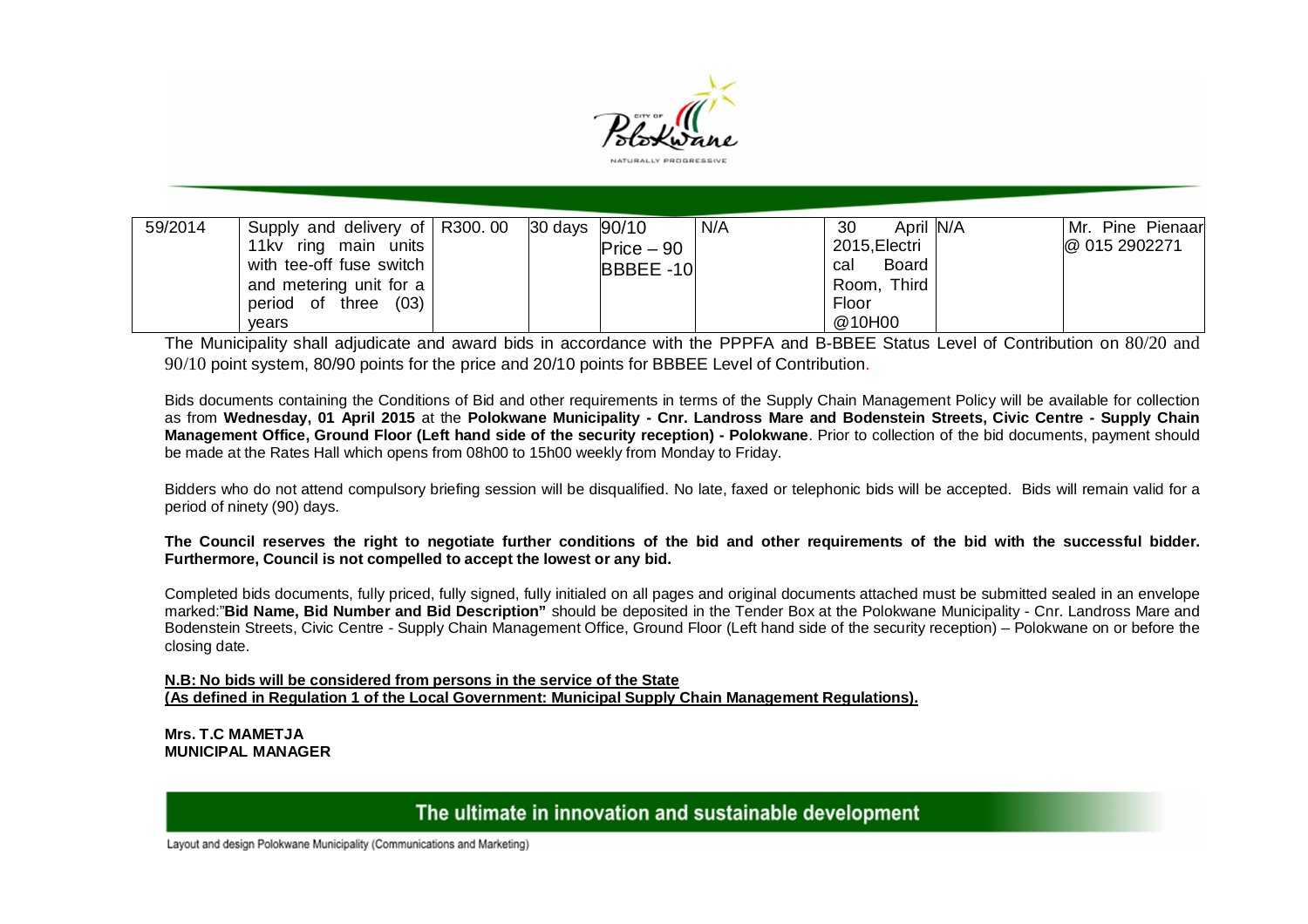

| 59/2014 | Supply and delivery of $\vert$ R300.00 $\vert$ 30 days $\vert$ 90/10 |  |              | N/A | April N/A<br>30     | Mr. Pine Pienaar |
|---------|----------------------------------------------------------------------|--|--------------|-----|---------------------|------------------|
|         | 11kv ring main<br>units I                                            |  | $Price - 90$ |     | 2015, Electri       | @ 015 2902271    |
|         | with tee-off fuse switch                                             |  | BBBEE-10     |     | <b>Board</b><br>cal |                  |
|         | and metering unit for a                                              |  |              |     | Room, Third         |                  |
|         | (03)<br>period of three                                              |  |              |     | Floor               |                  |
|         | vears                                                                |  |              |     | @10H00              |                  |

The Municipality shall adjudicate and award bids in accordance with the PPPFA and B-BBEE Status Level of Contribution on 80/20 and 90/10 point system, 80/90 points for the price and 20/10 points for BBBEE Level of Contribution.

Bids documents containing the Conditions of Bid and other requirements in terms of the Supply Chain Management Policy will be available for collection as from **Wednesday, 01 April 2015** at the **Polokwane Municipality - Cnr. Landross Mare and Bodenstein Streets, Civic Centre - Supply Chain Management Office, Ground Floor (Left hand side of the security reception) - Polokwane**. Prior to collection of the bid documents, payment should be made at the Rates Hall which opens from 08h00 to 15h00 weekly from Monday to Friday.

Bidders who do not attend compulsory briefing session will be disqualified. No late, faxed or telephonic bids will be accepted. Bids will remain valid for a period of ninety (90) days.

**The Council reserves the right to negotiate further conditions of the bid and other requirements of the bid with the successful bidder. Furthermore, Council is not compelled to accept the lowest or any bid.** 

Completed bids documents, fully priced, fully signed, fully initialed on all pages and original documents attached must be submitted sealed in an envelope marked:"**Bid Name, Bid Number and Bid Description"** should be deposited in the Tender Box at the Polokwane Municipality - Cnr. Landross Mare and Bodenstein Streets, Civic Centre - Supply Chain Management Office, Ground Floor (Left hand side of the security reception) – Polokwane on or before the closing date.

**N.B: No bids will be considered from persons in the service of the State (As defined in Regulation 1 of the Local Government: Municipal Supply Chain Management Regulations).**

**Mrs. T.C MAMETJA MUNICIPAL MANAGER**

The ultimate in innovation and sustainable development